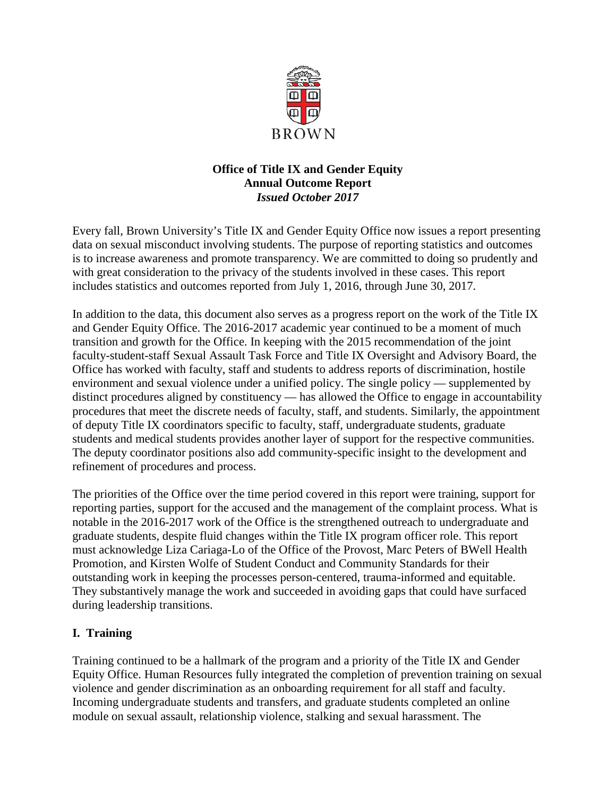

# **Office of Title IX and Gender Equity Annual Outcome Report** *Issued October 2017*

Every fall, Brown University's Title IX and Gender Equity Office now issues a report presenting data on sexual misconduct involving students. The purpose of reporting statistics and outcomes is to increase awareness and promote transparency. We are committed to doing so prudently and with great consideration to the privacy of the students involved in these cases. This report includes statistics and outcomes reported from July 1, 2016, through June 30, 2017.

In addition to the data, this document also serves as a progress report on the work of the Title IX and Gender Equity Office. The 2016-2017 academic year continued to be a moment of much transition and growth for the Office. In keeping with the 2015 recommendation of the joint faculty-student-staff Sexual Assault Task Force and Title IX Oversight and Advisory Board, the Office has worked with faculty, staff and students to address reports of discrimination, hostile environment and sexual violence under a unified policy. The single policy — supplemented by distinct procedures aligned by constituency — has allowed the Office to engage in accountability procedures that meet the discrete needs of faculty, staff, and students. Similarly, the appointment of deputy Title IX coordinators specific to faculty, staff, undergraduate students, graduate students and medical students provides another layer of support for the respective communities. The deputy coordinator positions also add community-specific insight to the development and refinement of procedures and process.

The priorities of the Office over the time period covered in this report were training, support for reporting parties, support for the accused and the management of the complaint process. What is notable in the 2016-2017 work of the Office is the strengthened outreach to undergraduate and graduate students, despite fluid changes within the Title IX program officer role. This report must acknowledge Liza Cariaga-Lo of the Office of the Provost, Marc Peters of BWell Health Promotion, and Kirsten Wolfe of Student Conduct and Community Standards for their outstanding work in keeping the processes person-centered, trauma-informed and equitable. They substantively manage the work and succeeded in avoiding gaps that could have surfaced during leadership transitions.

# **I. Training**

Training continued to be a hallmark of the program and a priority of the Title IX and Gender Equity Office. Human Resources fully integrated the completion of prevention training on sexual violence and gender discrimination as an onboarding requirement for all staff and faculty. Incoming undergraduate students and transfers, and graduate students completed an online module on sexual assault, relationship violence, stalking and sexual harassment. The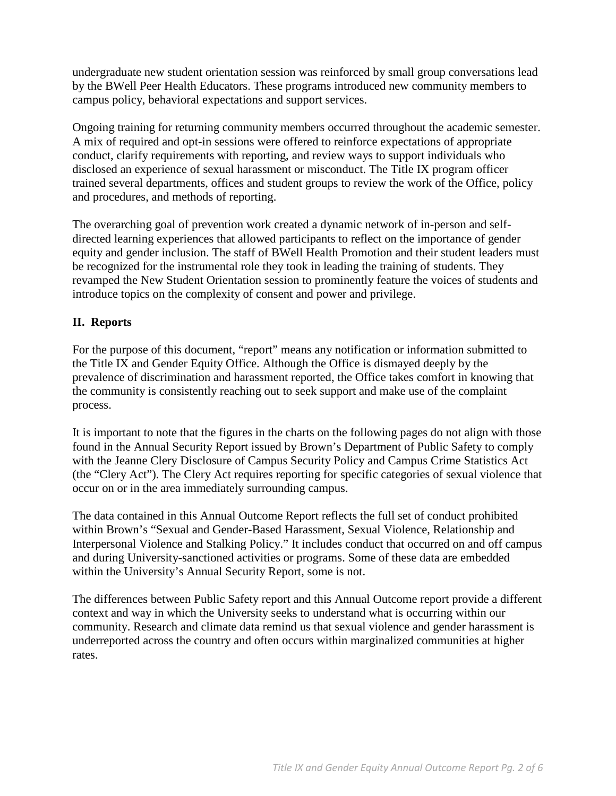undergraduate new student orientation session was reinforced by small group conversations lead by the BWell Peer Health Educators. These programs introduced new community members to campus policy, behavioral expectations and support services.

Ongoing training for returning community members occurred throughout the academic semester. A mix of required and opt-in sessions were offered to reinforce expectations of appropriate conduct, clarify requirements with reporting, and review ways to support individuals who disclosed an experience of sexual harassment or misconduct. The Title IX program officer trained several departments, offices and student groups to review the work of the Office, policy and procedures, and methods of reporting.

The overarching goal of prevention work created a dynamic network of in-person and selfdirected learning experiences that allowed participants to reflect on the importance of gender equity and gender inclusion. The staff of BWell Health Promotion and their student leaders must be recognized for the instrumental role they took in leading the training of students. They revamped the New Student Orientation session to prominently feature the voices of students and introduce topics on the complexity of consent and power and privilege.

## **II. Reports**

For the purpose of this document, "report" means any notification or information submitted to the Title IX and Gender Equity Office. Although the Office is dismayed deeply by the prevalence of discrimination and harassment reported, the Office takes comfort in knowing that the community is consistently reaching out to seek support and make use of the complaint process.

It is important to note that the figures in the charts on the following pages do not align with those found in the Annual Security Report issued by Brown's Department of Public Safety to comply with the Jeanne Clery Disclosure of Campus Security Policy and Campus Crime Statistics Act (the "Clery Act"). The Clery Act requires reporting for specific categories of sexual violence that occur on or in the area immediately surrounding campus.

The data contained in this Annual Outcome Report reflects the full set of conduct prohibited within Brown's "Sexual and Gender-Based Harassment, Sexual Violence, Relationship and Interpersonal Violence and Stalking Policy." It includes conduct that occurred on and off campus and during University-sanctioned activities or programs. Some of these data are embedded within the University's Annual Security Report, some is not.

The differences between Public Safety report and this Annual Outcome report provide a different context and way in which the University seeks to understand what is occurring within our community. Research and climate data remind us that sexual violence and gender harassment is underreported across the country and often occurs within marginalized communities at higher rates.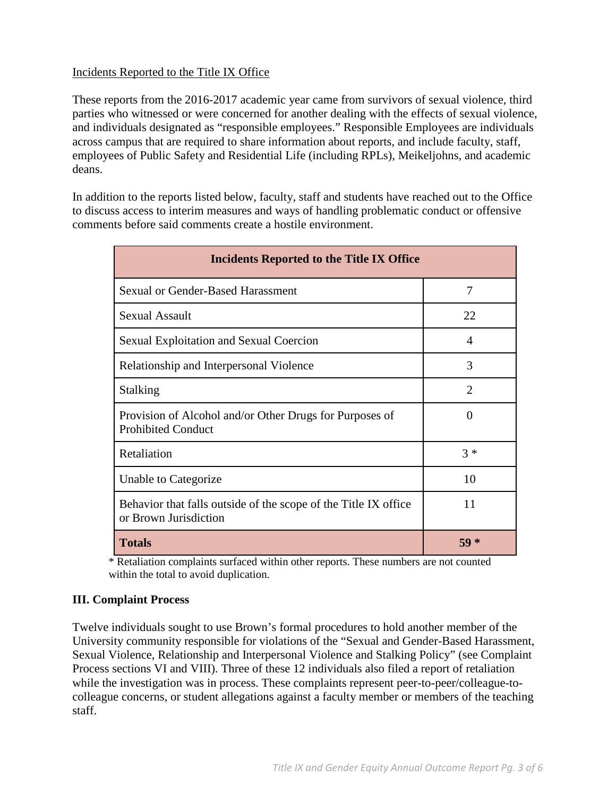## Incidents Reported to the Title IX Office

These reports from the 2016-2017 academic year came from survivors of sexual violence, third parties who witnessed or were concerned for another dealing with the effects of sexual violence, and individuals designated as "responsible employees." Responsible Employees are individuals across campus that are required to share information about reports, and include faculty, staff, employees of Public Safety and Residential Life (including RPLs), Meikeljohns, and academic deans.

In addition to the reports listed below, faculty, staff and students have reached out to the Office to discuss access to interim measures and ways of handling problematic conduct or offensive comments before said comments create a hostile environment.

| <b>Incidents Reported to the Title IX Office</b>                                         |                       |  |  |  |  |  |  |
|------------------------------------------------------------------------------------------|-----------------------|--|--|--|--|--|--|
| <b>Sexual or Gender-Based Harassment</b>                                                 | 7                     |  |  |  |  |  |  |
| <b>Sexual Assault</b>                                                                    | 22                    |  |  |  |  |  |  |
| <b>Sexual Exploitation and Sexual Coercion</b>                                           | 4                     |  |  |  |  |  |  |
| Relationship and Interpersonal Violence                                                  | 3                     |  |  |  |  |  |  |
| Stalking                                                                                 | $\mathcal{D}_{\cdot}$ |  |  |  |  |  |  |
| Provision of Alcohol and/or Other Drugs for Purposes of<br><b>Prohibited Conduct</b>     | $\theta$              |  |  |  |  |  |  |
| Retaliation                                                                              | $3 *$                 |  |  |  |  |  |  |
| Unable to Categorize                                                                     | 10                    |  |  |  |  |  |  |
| Behavior that falls outside of the scope of the Title IX office<br>or Brown Jurisdiction | 11                    |  |  |  |  |  |  |
| <b>Totals</b>                                                                            | $59*$                 |  |  |  |  |  |  |

\* Retaliation complaints surfaced within other reports. These numbers are not counted within the total to avoid duplication.

## **III. Complaint Process**

Twelve individuals sought to use Brown's formal procedures to hold another member of the University community responsible for violations of the "Sexual and Gender-Based Harassment, Sexual Violence, Relationship and Interpersonal Violence and Stalking Policy" (see Complaint Process sections VI and VIII). Three of these 12 individuals also filed a report of retaliation while the investigation was in process. These complaints represent peer-to-peer/colleague-tocolleague concerns, or student allegations against a faculty member or members of the teaching staff.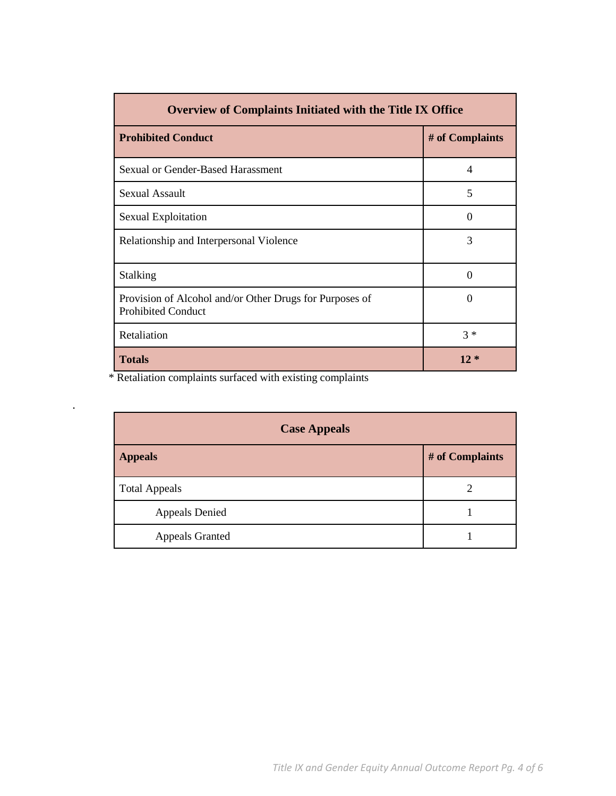| <b>Overview of Complaints Initiated with the Title IX Office</b>                     |                 |  |  |  |  |  |  |
|--------------------------------------------------------------------------------------|-----------------|--|--|--|--|--|--|
| <b>Prohibited Conduct</b>                                                            | # of Complaints |  |  |  |  |  |  |
| Sexual or Gender-Based Harassment                                                    | $\overline{4}$  |  |  |  |  |  |  |
| Sexual Assault                                                                       | 5               |  |  |  |  |  |  |
| Sexual Exploitation                                                                  | $\Omega$        |  |  |  |  |  |  |
| Relationship and Interpersonal Violence                                              | 3               |  |  |  |  |  |  |
| Stalking                                                                             | 0               |  |  |  |  |  |  |
| Provision of Alcohol and/or Other Drugs for Purposes of<br><b>Prohibited Conduct</b> | 0               |  |  |  |  |  |  |
| Retaliation                                                                          | $3 *$           |  |  |  |  |  |  |
| <b>Totals</b>                                                                        | $12 *$          |  |  |  |  |  |  |

\* Retaliation complaints surfaced with existing complaints

.

| <b>Case Appeals</b>    |                 |  |  |  |  |  |
|------------------------|-----------------|--|--|--|--|--|
| <b>Appeals</b>         | # of Complaints |  |  |  |  |  |
| <b>Total Appeals</b>   | 2               |  |  |  |  |  |
| <b>Appeals Denied</b>  |                 |  |  |  |  |  |
| <b>Appeals Granted</b> |                 |  |  |  |  |  |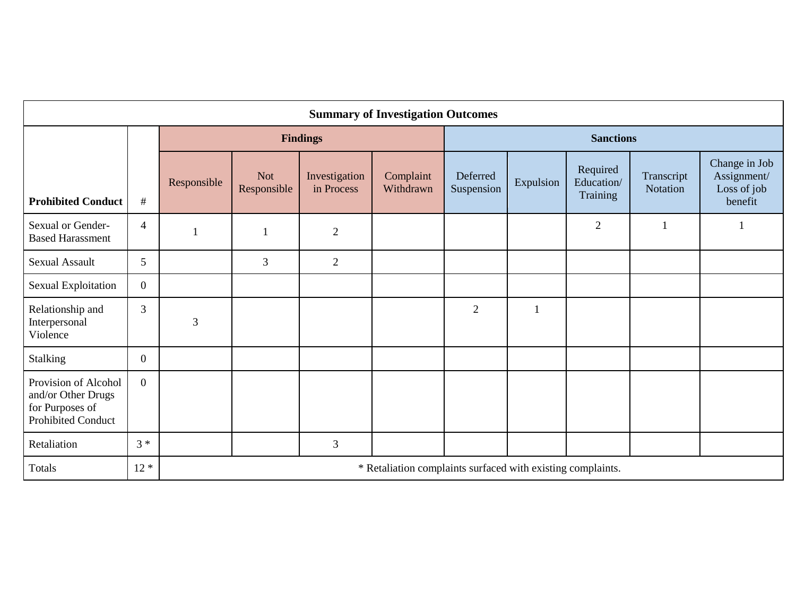| <b>Summary of Investigation Outcomes</b>                                                   |                |                                                             |                    |                             |                        |                        |              |                                    |                        |                                                        |  |
|--------------------------------------------------------------------------------------------|----------------|-------------------------------------------------------------|--------------------|-----------------------------|------------------------|------------------------|--------------|------------------------------------|------------------------|--------------------------------------------------------|--|
|                                                                                            |                | <b>Findings</b>                                             |                    |                             |                        | <b>Sanctions</b>       |              |                                    |                        |                                                        |  |
| <b>Prohibited Conduct</b>                                                                  | $\#$           | Responsible                                                 | Not<br>Responsible | Investigation<br>in Process | Complaint<br>Withdrawn | Deferred<br>Suspension | Expulsion    | Required<br>Education/<br>Training | Transcript<br>Notation | Change in Job<br>Assignment/<br>Loss of job<br>benefit |  |
| Sexual or Gender-<br><b>Based Harassment</b>                                               | $\overline{4}$ |                                                             | $\mathbf{1}$       | $\overline{2}$              |                        |                        |              | $\overline{2}$                     |                        |                                                        |  |
| <b>Sexual Assault</b>                                                                      | 5              |                                                             | 3                  | $\overline{2}$              |                        |                        |              |                                    |                        |                                                        |  |
| <b>Sexual Exploitation</b>                                                                 | $\overline{0}$ |                                                             |                    |                             |                        |                        |              |                                    |                        |                                                        |  |
| Relationship and<br>Interpersonal<br>Violence                                              | 3              | 3                                                           |                    |                             |                        | $\overline{2}$         | $\mathbf{1}$ |                                    |                        |                                                        |  |
| Stalking                                                                                   | $\overline{0}$ |                                                             |                    |                             |                        |                        |              |                                    |                        |                                                        |  |
| Provision of Alcohol<br>and/or Other Drugs<br>for Purposes of<br><b>Prohibited Conduct</b> | $\overline{0}$ |                                                             |                    |                             |                        |                        |              |                                    |                        |                                                        |  |
| Retaliation                                                                                | $3 *$          |                                                             |                    | $\mathfrak{Z}$              |                        |                        |              |                                    |                        |                                                        |  |
| Totals                                                                                     | $12 *$         | * Retaliation complaints surfaced with existing complaints. |                    |                             |                        |                        |              |                                    |                        |                                                        |  |